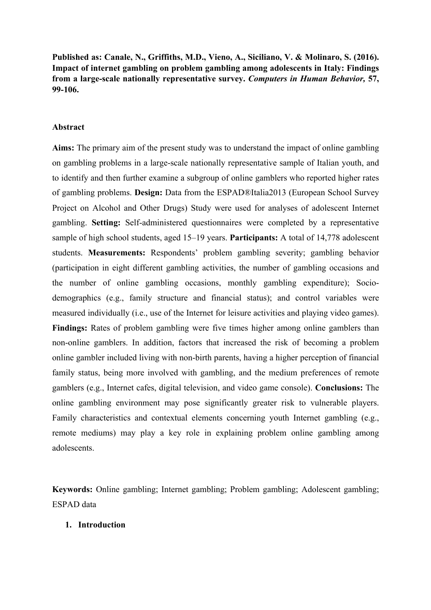**Published as: Canale, N., Griffiths, M.D., Vieno, A., Siciliano, V. & Molinaro, S. (2016). Impact of internet gambling on problem gambling among adolescents in Italy: Findings from a large-scale nationally representative survey.** *Computers in Human Behavior,* **57, 99-106.**

## **Abstract**

**Aims:** The primary aim of the present study was to understand the impact of online gambling on gambling problems in a large-scale nationally representative sample of Italian youth, and to identify and then further examine a subgroup of online gamblers who reported higher rates of gambling problems. **Design:** Data from the ESPAD®Italia2013 (European School Survey Project on Alcohol and Other Drugs) Study were used for analyses of adolescent Internet gambling. **Setting:** Self-administered questionnaires were completed by a representative sample of high school students, aged 15–19 years. **Participants:** A total of 14,778 adolescent students. **Measurements:** Respondents' problem gambling severity; gambling behavior (participation in eight different gambling activities, the number of gambling occasions and the number of online gambling occasions, monthly gambling expenditure); Sociodemographics (e.g., family structure and financial status); and control variables were measured individually (i.e., use of the Internet for leisure activities and playing video games). **Findings:** Rates of problem gambling were five times higher among online gamblers than non-online gamblers. In addition, factors that increased the risk of becoming a problem online gambler included living with non-birth parents, having a higher perception of financial family status, being more involved with gambling, and the medium preferences of remote gamblers (e.g., Internet cafes, digital television, and video game console). **Conclusions:** The online gambling environment may pose significantly greater risk to vulnerable players. Family characteristics and contextual elements concerning youth Internet gambling (e.g., remote mediums) may play a key role in explaining problem online gambling among adolescents.

**Keywords:** Online gambling; Internet gambling; Problem gambling; Adolescent gambling; ESPAD data

#### **1. Introduction**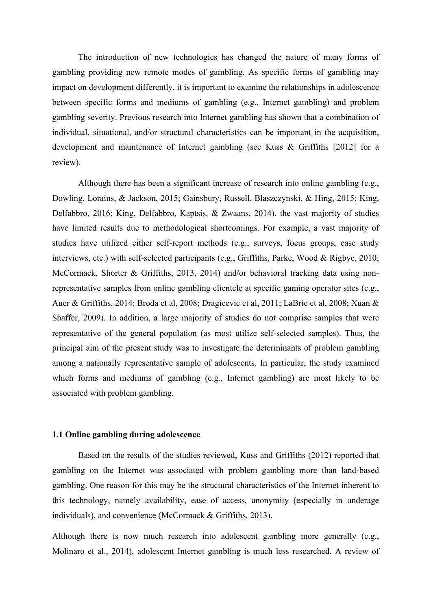The introduction of new technologies has changed the nature of many forms of gambling providing new remote modes of gambling. As specific forms of gambling may impact on development differently, it is important to examine the relationships in adolescence between specific forms and mediums of gambling (e.g., Internet gambling) and problem gambling severity. Previous research into Internet gambling has shown that a combination of individual, situational, and/or structural characteristics can be important in the acquisition, development and maintenance of Internet gambling (see Kuss & Griffiths [2012] for a review).

Although there has been a significant increase of research into online gambling (e.g., Dowling, Lorains, & Jackson, 2015; Gainsbury, Russell, Blaszczynski, & Hing, 2015; King, Delfabbro, 2016; King, Delfabbro, Kaptsis, & Zwaans, 2014), the vast majority of studies have limited results due to methodological shortcomings. For example, a vast majority of studies have utilized either self-report methods (e.g., surveys, focus groups, case study interviews, etc.) with self-selected participants (e.g., Griffiths, Parke, Wood & Rigbye, 2010; McCormack, Shorter & Griffiths, 2013, 2014) and/or behavioral tracking data using nonrepresentative samples from online gambling clientele at specific gaming operator sites (e.g., Auer & Griffiths, 2014; Broda et al, 2008; Dragicevic et al, 2011; LaBrie et al, 2008; Xuan & Shaffer, 2009). In addition, a large majority of studies do not comprise samples that were representative of the general population (as most utilize self-selected samples). Thus, the principal aim of the present study was to investigate the determinants of problem gambling among a nationally representative sample of adolescents. In particular, the study examined which forms and mediums of gambling (e.g., Internet gambling) are most likely to be associated with problem gambling.

## **1.1 Online gambling during adolescence**

Based on the results of the studies reviewed, Kuss and Griffiths (2012) reported that gambling on the Internet was associated with problem gambling more than land-based gambling. One reason for this may be the structural characteristics of the Internet inherent to this technology, namely availability, ease of access, anonymity (especially in underage individuals), and convenience (McCormack & Griffiths, 2013).

Although there is now much research into adolescent gambling more generally (e.g., Molinaro et al., 2014), adolescent Internet gambling is much less researched. A review of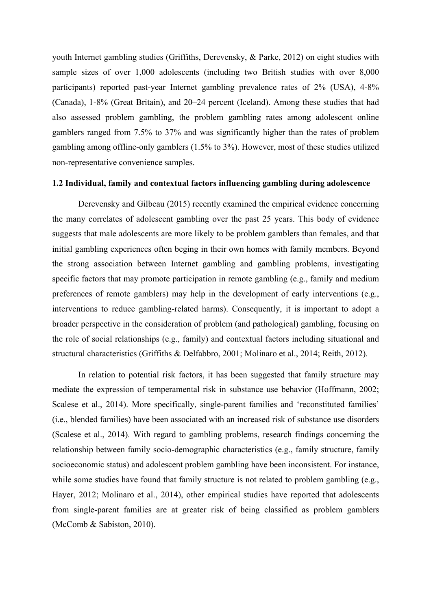youth Internet gambling studies (Griffiths, Derevensky, & Parke, 2012) on eight studies with sample sizes of over 1,000 adolescents (including two British studies with over 8,000 participants) reported past-year Internet gambling prevalence rates of 2% (USA), 4-8% (Canada), 1-8% (Great Britain), and 20–24 percent (Iceland). Among these studies that had also assessed problem gambling, the problem gambling rates among adolescent online gamblers ranged from 7.5% to 37% and was significantly higher than the rates of problem gambling among offline-only gamblers (1.5% to 3%). However, most of these studies utilized non-representative convenience samples.

## **1.2 Individual, family and contextual factors influencing gambling during adolescence**

Derevensky and Gilbeau (2015) recently examined the empirical evidence concerning the many correlates of adolescent gambling over the past 25 years. This body of evidence suggests that male adolescents are more likely to be problem gamblers than females, and that initial gambling experiences often beging in their own homes with family members. Beyond the strong association between Internet gambling and gambling problems, investigating specific factors that may promote participation in remote gambling (e.g., family and medium preferences of remote gamblers) may help in the development of early interventions (e.g., interventions to reduce gambling-related harms). Consequently, it is important to adopt a broader perspective in the consideration of problem (and pathological) gambling, focusing on the role of social relationships (e.g., family) and contextual factors including situational and structural characteristics (Griffiths & Delfabbro, 2001; Molinaro et al., 2014; Reith, 2012).

In relation to potential risk factors, it has been suggested that family structure may mediate the expression of temperamental risk in substance use behavior (Hoffmann, 2002; Scalese et al., 2014). More specifically, single-parent families and 'reconstituted families' (i.e., blended families) have been associated with an increased risk of substance use disorders (Scalese et al., 2014). With regard to gambling problems, research findings concerning the relationship between family socio-demographic characteristics (e.g., family structure, family socioeconomic status) and adolescent problem gambling have been inconsistent. For instance, while some studies have found that family structure is not related to problem gambling (e.g., Hayer, 2012; Molinaro et al., 2014), other empirical studies have reported that adolescents from single-parent families are at greater risk of being classified as problem gamblers (McComb & Sabiston, 2010).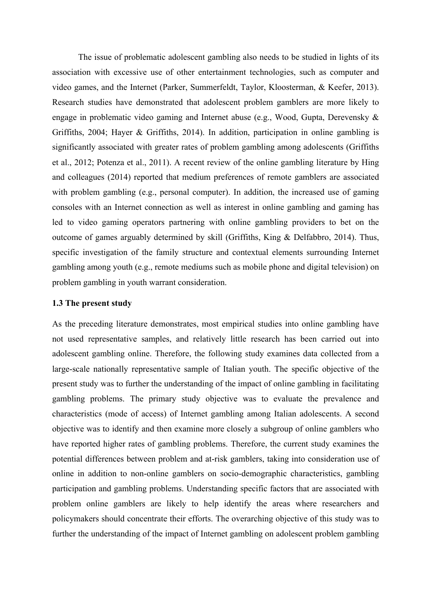The issue of problematic adolescent gambling also needs to be studied in lights of its association with excessive use of other entertainment technologies, such as computer and video games, and the Internet (Parker, Summerfeldt, Taylor, Kloosterman, & Keefer, 2013). Research studies have demonstrated that adolescent problem gamblers are more likely to engage in problematic video gaming and Internet abuse (e.g., Wood, Gupta, Derevensky & Griffiths, 2004; Hayer & Griffiths, 2014). In addition, participation in online gambling is significantly associated with greater rates of problem gambling among adolescents (Griffiths et al., 2012; Potenza et al., 2011). A recent review of the online gambling literature by Hing and colleagues (2014) reported that medium preferences of remote gamblers are associated with problem gambling (e.g., personal computer). In addition, the increased use of gaming consoles with an Internet connection as well as interest in online gambling and gaming has led to video gaming operators partnering with online gambling providers to bet on the outcome of games arguably determined by skill (Griffiths, King & Delfabbro, 2014). Thus, specific investigation of the family structure and contextual elements surrounding Internet gambling among youth (e.g., remote mediums such as mobile phone and digital television) on problem gambling in youth warrant consideration.

## **1.3 The present study**

As the preceding literature demonstrates, most empirical studies into online gambling have not used representative samples, and relatively little research has been carried out into adolescent gambling online. Therefore, the following study examines data collected from a large-scale nationally representative sample of Italian youth. The specific objective of the present study was to further the understanding of the impact of online gambling in facilitating gambling problems. The primary study objective was to evaluate the prevalence and characteristics (mode of access) of Internet gambling among Italian adolescents. A second objective was to identify and then examine more closely a subgroup of online gamblers who have reported higher rates of gambling problems. Therefore, the current study examines the potential differences between problem and at-risk gamblers, taking into consideration use of online in addition to non-online gamblers on socio-demographic characteristics, gambling participation and gambling problems. Understanding specific factors that are associated with problem online gamblers are likely to help identify the areas where researchers and policymakers should concentrate their efforts. The overarching objective of this study was to further the understanding of the impact of Internet gambling on adolescent problem gambling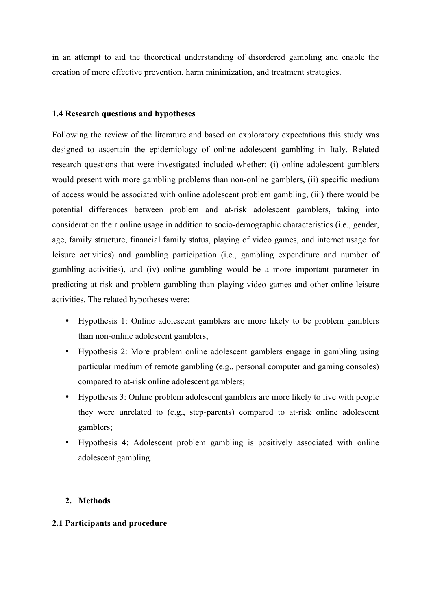in an attempt to aid the theoretical understanding of disordered gambling and enable the creation of more effective prevention, harm minimization, and treatment strategies.

# **1.4 Research questions and hypotheses**

Following the review of the literature and based on exploratory expectations this study was designed to ascertain the epidemiology of online adolescent gambling in Italy. Related research questions that were investigated included whether: (i) online adolescent gamblers would present with more gambling problems than non-online gamblers, (ii) specific medium of access would be associated with online adolescent problem gambling, (iii) there would be potential differences between problem and at-risk adolescent gamblers, taking into consideration their online usage in addition to socio-demographic characteristics (i.e., gender, age, family structure, financial family status, playing of video games, and internet usage for leisure activities) and gambling participation (i.e., gambling expenditure and number of gambling activities), and (iv) online gambling would be a more important parameter in predicting at risk and problem gambling than playing video games and other online leisure activities. The related hypotheses were:

- Hypothesis 1: Online adolescent gamblers are more likely to be problem gamblers than non-online adolescent gamblers;
- Hypothesis 2: More problem online adolescent gamblers engage in gambling using particular medium of remote gambling (e.g., personal computer and gaming consoles) compared to at-risk online adolescent gamblers;
- Hypothesis 3: Online problem adolescent gamblers are more likely to live with people they were unrelated to (e.g., step-parents) compared to at-risk online adolescent gamblers;
- Hypothesis 4: Adolescent problem gambling is positively associated with online adolescent gambling.

# **2. Methods**

# **2.1 Participants and procedure**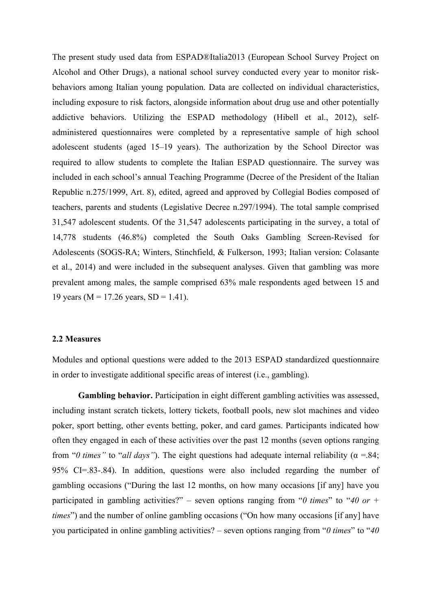The present study used data from ESPAD®Italia2013 (European School Survey Project on Alcohol and Other Drugs), a national school survey conducted every year to monitor riskbehaviors among Italian young population. Data are collected on individual characteristics, including exposure to risk factors, alongside information about drug use and other potentially addictive behaviors. Utilizing the ESPAD methodology (Hibell et al., 2012), selfadministered questionnaires were completed by a representative sample of high school adolescent students (aged 15–19 years). The authorization by the School Director was required to allow students to complete the Italian ESPAD questionnaire. The survey was included in each school's annual Teaching Programme (Decree of the President of the Italian Republic n.275/1999, Art. 8), edited, agreed and approved by Collegial Bodies composed of teachers, parents and students (Legislative Decree n.297/1994). The total sample comprised 31,547 adolescent students. Of the 31,547 adolescents participating in the survey, a total of 14,778 students (46.8%) completed the South Oaks Gambling Screen-Revised for Adolescents (SOGS-RA; Winters, Stinchfield, & Fulkerson, 1993; Italian version: Colasante et al., 2014) and were included in the subsequent analyses. Given that gambling was more prevalent among males, the sample comprised 63% male respondents aged between 15 and 19 years ( $M = 17.26$  years,  $SD = 1.41$ ).

#### **2.2 Measures**

Modules and optional questions were added to the 2013 ESPAD standardized questionnaire in order to investigate additional specific areas of interest (i.e., gambling).

Gambling behavior. Participation in eight different gambling activities was assessed, including instant scratch tickets, lottery tickets, football pools, new slot machines and video poker, sport betting, other events betting, poker, and card games. Participants indicated how often they engaged in each of these activities over the past 12 months (seven options ranging from "*0 times*" to "*all days*"). The eight questions had adequate internal reliability ( $\alpha$  =.84; 95% CI=.83-.84). In addition, questions were also included regarding the number of gambling occasions ("During the last 12 months, on how many occasions [if any] have you participated in gambling activities?" – seven options ranging from "*0 times*" to "*40 or + times*") and the number of online gambling occasions ("On how many occasions [if any] have you participated in online gambling activities? – seven options ranging from "*0 times*" to "*40*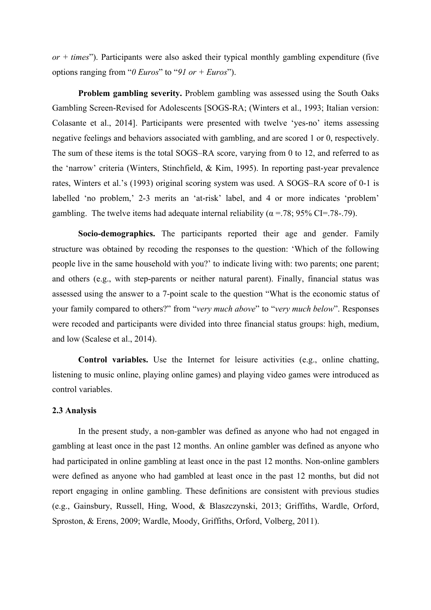*or + times*"). Participants were also asked their typical monthly gambling expenditure (five options ranging from "*0 Euros*" to "*91 or + Euros*").

**Problem gambling severity.** Problem gambling was assessed using the South Oaks Gambling Screen-Revised for Adolescents [SOGS-RA; (Winters et al., 1993; Italian version: Colasante et al., 2014]. Participants were presented with twelve 'yes-no' items assessing negative feelings and behaviors associated with gambling, and are scored 1 or 0, respectively. The sum of these items is the total SOGS–RA score, varying from 0 to 12, and referred to as the 'narrow' criteria (Winters, Stinchfield, & Kim, 1995). In reporting past-year prevalence rates, Winters et al.'s (1993) original scoring system was used. A SOGS–RA score of 0-1 is labelled 'no problem,' 2-3 merits an 'at-risk' label, and 4 or more indicates 'problem' gambling. The twelve items had adequate internal reliability ( $\alpha$  =.78; 95% CI=.78-.79).

**Socio-demographics.** The participants reported their age and gender. Family structure was obtained by recoding the responses to the question: 'Which of the following people live in the same household with you?' to indicate living with: two parents; one parent; and others (e.g., with step-parents or neither natural parent). Finally, financial status was assessed using the answer to a 7-point scale to the question "What is the economic status of your family compared to others?" from "*very much above*" to "*very much below*". Responses were recoded and participants were divided into three financial status groups: high, medium, and low (Scalese et al., 2014).

**Control variables.** Use the Internet for leisure activities (e.g., online chatting, listening to music online, playing online games) and playing video games were introduced as control variables.

### **2.3 Analysis**

In the present study, a non-gambler was defined as anyone who had not engaged in gambling at least once in the past 12 months. An online gambler was defined as anyone who had participated in online gambling at least once in the past 12 months. Non-online gamblers were defined as anyone who had gambled at least once in the past 12 months, but did not report engaging in online gambling. These definitions are consistent with previous studies (e.g., Gainsbury, Russell, Hing, Wood, & Blaszczynski, 2013; Griffiths, Wardle, Orford, Sproston, & Erens, 2009; Wardle, Moody, Griffiths, Orford, Volberg, 2011).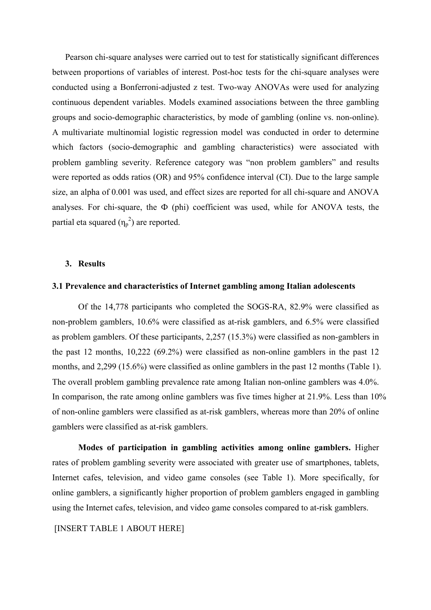Pearson chi-square analyses were carried out to test for statistically significant differences between proportions of variables of interest. Post-hoc tests for the chi-square analyses were conducted using a Bonferroni-adjusted z test. Two-way ANOVAs were used for analyzing continuous dependent variables. Models examined associations between the three gambling groups and socio-demographic characteristics, by mode of gambling (online vs. non-online). A multivariate multinomial logistic regression model was conducted in order to determine which factors (socio-demographic and gambling characteristics) were associated with problem gambling severity. Reference category was "non problem gamblers" and results were reported as odds ratios (OR) and 95% confidence interval (CI). Due to the large sample size, an alpha of 0.001 was used, and effect sizes are reported for all chi-square and ANOVA analyses. For chi-square, the  $\Phi$  (phi) coefficient was used, while for ANOVA tests, the partial eta squared  $(\eta_p^2)$  are reported.

#### **3. Results**

## **3.1 Prevalence and characteristics of Internet gambling among Italian adolescents**

Of the 14,778 participants who completed the SOGS-RA, 82.9% were classified as non-problem gamblers, 10.6% were classified as at-risk gamblers, and 6.5% were classified as problem gamblers. Of these participants, 2,257 (15.3%) were classified as non-gamblers in the past 12 months, 10,222 (69.2%) were classified as non-online gamblers in the past 12 months, and 2,299 (15.6%) were classified as online gamblers in the past 12 months (Table 1). The overall problem gambling prevalence rate among Italian non-online gamblers was 4.0%. In comparison, the rate among online gamblers was five times higher at 21.9%. Less than 10% of non-online gamblers were classified as at-risk gamblers, whereas more than 20% of online gamblers were classified as at-risk gamblers.

**Modes of participation in gambling activities among online gamblers.** Higher rates of problem gambling severity were associated with greater use of smartphones, tablets, Internet cafes, television, and video game consoles (see Table 1). More specifically, for online gamblers, a significantly higher proportion of problem gamblers engaged in gambling using the Internet cafes, television, and video game consoles compared to at-risk gamblers.

[INSERT TABLE 1 ABOUT HERE]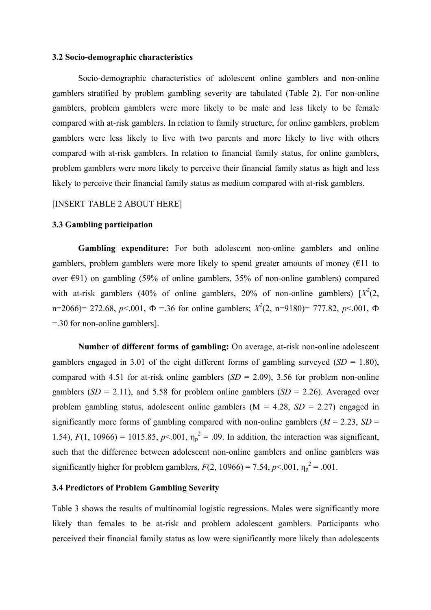### **3.2 Socio-demographic characteristics**

Socio-demographic characteristics of adolescent online gamblers and non-online gamblers stratified by problem gambling severity are tabulated (Table 2). For non-online gamblers, problem gamblers were more likely to be male and less likely to be female compared with at-risk gamblers. In relation to family structure, for online gamblers, problem gamblers were less likely to live with two parents and more likely to live with others compared with at-risk gamblers. In relation to financial family status, for online gamblers, problem gamblers were more likely to perceive their financial family status as high and less likely to perceive their financial family status as medium compared with at-risk gamblers.

# [INSERT TABLE 2 ABOUT HERE]

## **3.3 Gambling participation**

Gambling expenditure: For both adolescent non-online gamblers and online gamblers, problem gamblers were more likely to spend greater amounts of money ( $E11$  to over  $\epsilon$ 91) on gambling (59% of online gamblers, 35% of non-online gamblers) compared with at-risk gamblers (40% of online gamblers, 20% of non-online gamblers)  $[X^2(2,$ n=2066)= 272.68,  $p<0.01$ ,  $\Phi = 0.36$  for online gamblers;  $X^2(2, n=9180)$ = 777.82,  $p<0.01$ ,  $\Phi$ =.30 for non-online gamblers].

**Number of different forms of gambling:** On average, at-risk non-online adolescent gamblers engaged in 3.01 of the eight different forms of gambling surveyed (*SD* = 1.80), compared with 4.51 for at-risk online gamblers  $(SD = 2.09)$ , 3.56 for problem non-online gamblers  $(SD = 2.11)$ , and 5.58 for problem online gamblers  $(SD = 2.26)$ . Averaged over problem gambling status, adolescent online gamblers  $(M = 4.28, SD = 2.27)$  engaged in significantly more forms of gambling compared with non-online gamblers ( $M = 2.23$ ,  $SD =$ 1.54),  $F(1, 10966) = 1015.85$ ,  $p \le 0.01$ ,  $\eta_p^2 = 0.09$ . In addition, the interaction was significant, such that the difference between adolescent non-online gamblers and online gamblers was significantly higher for problem gamblers,  $F(2, 10966) = 7.54$ ,  $p < .001$ ,  $\eta_p^2 = .001$ .

# **3.4 Predictors of Problem Gambling Severity**

Table 3 shows the results of multinomial logistic regressions. Males were significantly more likely than females to be at-risk and problem adolescent gamblers. Participants who perceived their financial family status as low were significantly more likely than adolescents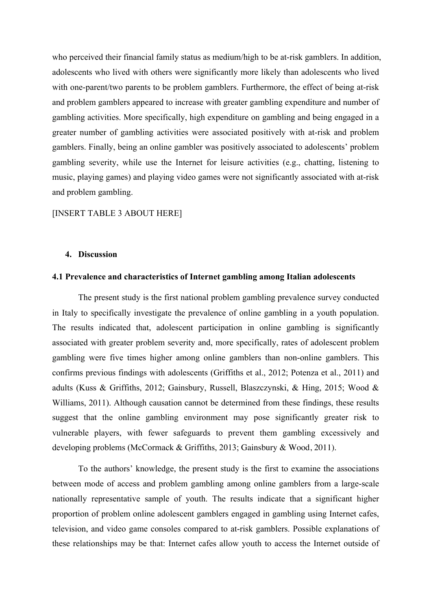who perceived their financial family status as medium/high to be at-risk gamblers. In addition, adolescents who lived with others were significantly more likely than adolescents who lived with one-parent/two parents to be problem gamblers. Furthermore, the effect of being at-risk and problem gamblers appeared to increase with greater gambling expenditure and number of gambling activities. More specifically, high expenditure on gambling and being engaged in a greater number of gambling activities were associated positively with at-risk and problem gamblers. Finally, being an online gambler was positively associated to adolescents' problem gambling severity, while use the Internet for leisure activities (e.g., chatting, listening to music, playing games) and playing video games were not significantly associated with at-risk and problem gambling.

### [INSERT TABLE 3 ABOUT HERE]

#### **4. Discussion**

#### **4.1 Prevalence and characteristics of Internet gambling among Italian adolescents**

The present study is the first national problem gambling prevalence survey conducted in Italy to specifically investigate the prevalence of online gambling in a youth population. The results indicated that, adolescent participation in online gambling is significantly associated with greater problem severity and, more specifically, rates of adolescent problem gambling were five times higher among online gamblers than non-online gamblers. This confirms previous findings with adolescents (Griffiths et al., 2012; Potenza et al., 2011) and adults (Kuss & Griffiths, 2012; Gainsbury, Russell, Blaszczynski, & Hing, 2015; Wood & Williams, 2011). Although causation cannot be determined from these findings, these results suggest that the online gambling environment may pose significantly greater risk to vulnerable players, with fewer safeguards to prevent them gambling excessively and developing problems (McCormack & Griffiths, 2013; Gainsbury & Wood, 2011).

To the authors' knowledge, the present study is the first to examine the associations between mode of access and problem gambling among online gamblers from a large-scale nationally representative sample of youth. The results indicate that a significant higher proportion of problem online adolescent gamblers engaged in gambling using Internet cafes, television, and video game consoles compared to at-risk gamblers. Possible explanations of these relationships may be that: Internet cafes allow youth to access the Internet outside of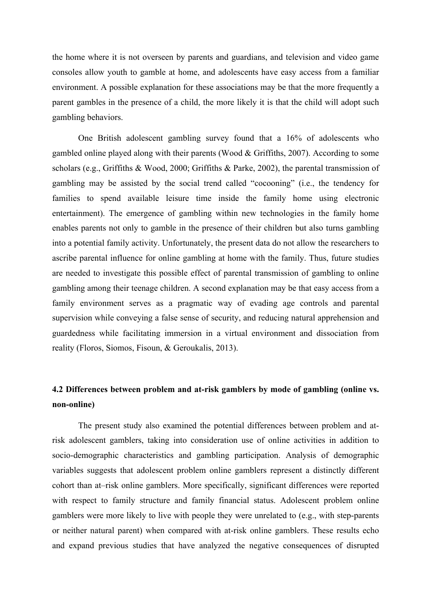the home where it is not overseen by parents and guardians, and television and video game consoles allow youth to gamble at home, and adolescents have easy access from a familiar environment. A possible explanation for these associations may be that the more frequently a parent gambles in the presence of a child, the more likely it is that the child will adopt such gambling behaviors.

One British adolescent gambling survey found that a 16% of adolescents who gambled online played along with their parents (Wood & Griffiths, 2007). According to some scholars (e.g., Griffiths & Wood, 2000; Griffiths & Parke, 2002), the parental transmission of gambling may be assisted by the social trend called "cocooning" (i.e., the tendency for families to spend available leisure time inside the family home using electronic entertainment). The emergence of gambling within new technologies in the family home enables parents not only to gamble in the presence of their children but also turns gambling into a potential family activity. Unfortunately, the present data do not allow the researchers to ascribe parental influence for online gambling at home with the family. Thus, future studies are needed to investigate this possible effect of parental transmission of gambling to online gambling among their teenage children. A second explanation may be that easy access from a family environment serves as a pragmatic way of evading age controls and parental supervision while conveying a false sense of security, and reducing natural apprehension and guardedness while facilitating immersion in a virtual environment and dissociation from reality (Floros, Siomos, Fisoun, & Geroukalis, 2013).

# **4.2 Differences between problem and at-risk gamblers by mode of gambling (online vs. non-online)**

The present study also examined the potential differences between problem and atrisk adolescent gamblers, taking into consideration use of online activities in addition to socio-demographic characteristics and gambling participation. Analysis of demographic variables suggests that adolescent problem online gamblers represent a distinctly different cohort than at–risk online gamblers. More specifically, significant differences were reported with respect to family structure and family financial status. Adolescent problem online gamblers were more likely to live with people they were unrelated to (e.g., with step-parents or neither natural parent) when compared with at-risk online gamblers. These results echo and expand previous studies that have analyzed the negative consequences of disrupted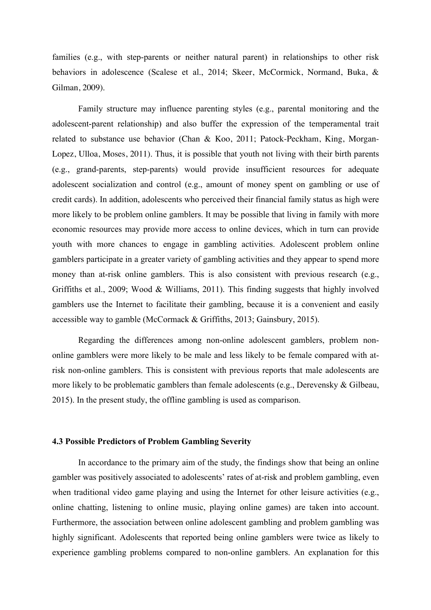families (e.g., with step-parents or neither natural parent) in relationships to other risk behaviors in adolescence (Scalese et al., 2014; Skeer, McCormick, Normand, Buka, & Gilman, 2009).

Family structure may influence parenting styles (e.g., parental monitoring and the adolescent-parent relationship) and also buffer the expression of the temperamental trait related to substance use behavior (Chan & Koo, 2011; Patock-Peckham, King, Morgan-Lopez, Ulloa, Moses, 2011). Thus, it is possible that youth not living with their birth parents (e.g., grand-parents, step-parents) would provide insufficient resources for adequate adolescent socialization and control (e.g., amount of money spent on gambling or use of credit cards). In addition, adolescents who perceived their financial family status as high were more likely to be problem online gamblers. It may be possible that living in family with more economic resources may provide more access to online devices, which in turn can provide youth with more chances to engage in gambling activities. Adolescent problem online gamblers participate in a greater variety of gambling activities and they appear to spend more money than at-risk online gamblers. This is also consistent with previous research (e.g., Griffiths et al., 2009; Wood & Williams, 2011). This finding suggests that highly involved gamblers use the Internet to facilitate their gambling, because it is a convenient and easily accessible way to gamble (McCormack & Griffiths, 2013; Gainsbury, 2015).

Regarding the differences among non-online adolescent gamblers, problem nononline gamblers were more likely to be male and less likely to be female compared with atrisk non-online gamblers. This is consistent with previous reports that male adolescents are more likely to be problematic gamblers than female adolescents (e.g., Derevensky & Gilbeau, 2015). In the present study, the offline gambling is used as comparison.

## **4.3 Possible Predictors of Problem Gambling Severity**

In accordance to the primary aim of the study, the findings show that being an online gambler was positively associated to adolescents' rates of at-risk and problem gambling, even when traditional video game playing and using the Internet for other leisure activities (e.g., online chatting, listening to online music, playing online games) are taken into account. Furthermore, the association between online adolescent gambling and problem gambling was highly significant. Adolescents that reported being online gamblers were twice as likely to experience gambling problems compared to non-online gamblers. An explanation for this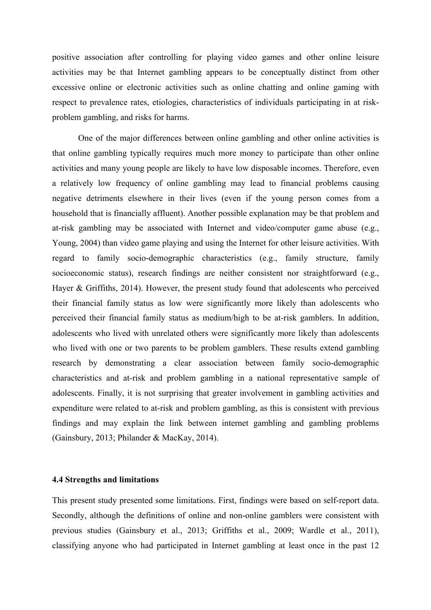positive association after controlling for playing video games and other online leisure activities may be that Internet gambling appears to be conceptually distinct from other excessive online or electronic activities such as online chatting and online gaming with respect to prevalence rates, etiologies, characteristics of individuals participating in at riskproblem gambling, and risks for harms.

One of the major differences between online gambling and other online activities is that online gambling typically requires much more money to participate than other online activities and many young people are likely to have low disposable incomes. Therefore, even a relatively low frequency of online gambling may lead to financial problems causing negative detriments elsewhere in their lives (even if the young person comes from a household that is financially affluent). Another possible explanation may be that problem and at-risk gambling may be associated with Internet and video/computer game abuse (e.g., Young, 2004) than video game playing and using the Internet for other leisure activities. With regard to family socio-demographic characteristics (e.g., family structure, family socioeconomic status), research findings are neither consistent nor straightforward (e.g., Hayer & Griffiths, 2014). However, the present study found that adolescents who perceived their financial family status as low were significantly more likely than adolescents who perceived their financial family status as medium/high to be at-risk gamblers. In addition, adolescents who lived with unrelated others were significantly more likely than adolescents who lived with one or two parents to be problem gamblers. These results extend gambling research by demonstrating a clear association between family socio-demographic characteristics and at-risk and problem gambling in a national representative sample of adolescents. Finally, it is not surprising that greater involvement in gambling activities and expenditure were related to at-risk and problem gambling, as this is consistent with previous findings and may explain the link between internet gambling and gambling problems (Gainsbury, 2013; Philander & MacKay, 2014).

#### **4.4 Strengths and limitations**

This present study presented some limitations. First, findings were based on self-report data. Secondly, although the definitions of online and non-online gamblers were consistent with previous studies (Gainsbury et al., 2013; Griffiths et al., 2009; Wardle et al., 2011), classifying anyone who had participated in Internet gambling at least once in the past 12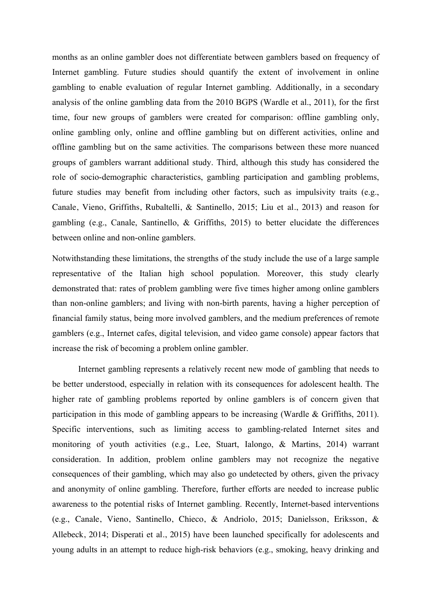months as an online gambler does not differentiate between gamblers based on frequency of Internet gambling. Future studies should quantify the extent of involvement in online gambling to enable evaluation of regular Internet gambling. Additionally, in a secondary analysis of the online gambling data from the 2010 BGPS (Wardle et al., 2011), for the first time, four new groups of gamblers were created for comparison: offline gambling only, online gambling only, online and offline gambling but on different activities, online and offline gambling but on the same activities. The comparisons between these more nuanced groups of gamblers warrant additional study. Third, although this study has considered the role of socio-demographic characteristics, gambling participation and gambling problems, future studies may benefit from including other factors, such as impulsivity traits (e.g., Canale, Vieno, Griffiths, Rubaltelli, & Santinello, 2015; Liu et al., 2013) and reason for gambling (e.g., Canale, Santinello, & Griffiths, 2015) to better elucidate the differences between online and non-online gamblers.

Notwithstanding these limitations, the strengths of the study include the use of a large sample representative of the Italian high school population. Moreover, this study clearly demonstrated that: rates of problem gambling were five times higher among online gamblers than non-online gamblers; and living with non-birth parents, having a higher perception of financial family status, being more involved gamblers, and the medium preferences of remote gamblers (e.g., Internet cafes, digital television, and video game console) appear factors that increase the risk of becoming a problem online gambler.

Internet gambling represents a relatively recent new mode of gambling that needs to be better understood, especially in relation with its consequences for adolescent health. The higher rate of gambling problems reported by online gamblers is of concern given that participation in this mode of gambling appears to be increasing (Wardle & Griffiths, 2011). Specific interventions, such as limiting access to gambling-related Internet sites and monitoring of youth activities (e.g., Lee, Stuart, Ialongo, & Martins, 2014) warrant consideration. In addition, problem online gamblers may not recognize the negative consequences of their gambling, which may also go undetected by others, given the privacy and anonymity of online gambling. Therefore, further efforts are needed to increase public awareness to the potential risks of Internet gambling. Recently, Internet-based interventions (e.g., Canale, Vieno, Santinello, Chieco, & Andriolo, 2015; Danielsson, Eriksson, & Allebeck, 2014; Disperati et al., 2015) have been launched specifically for adolescents and young adults in an attempt to reduce high-risk behaviors (e.g., smoking, heavy drinking and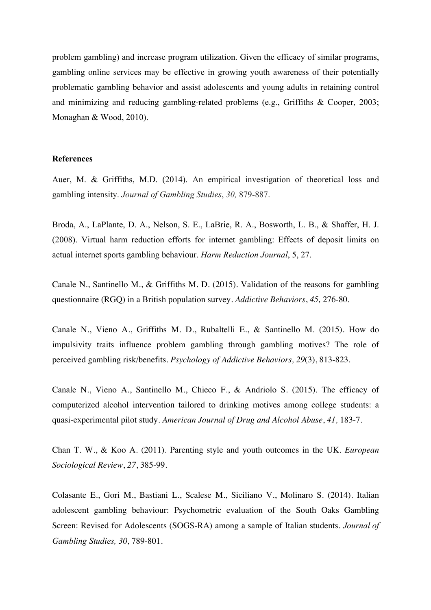problem gambling) and increase program utilization. Given the efficacy of similar programs, gambling online services may be effective in growing youth awareness of their potentially problematic gambling behavior and assist adolescents and young adults in retaining control and minimizing and reducing gambling-related problems (e.g., Griffiths & Cooper, 2003; Monaghan & Wood, 2010).

## **References**

Auer, M. & Griffiths, M.D. (2014). An empirical investigation of theoretical loss and gambling intensity. *Journal of Gambling Studies*, *30,* 879-887.

Broda, A., LaPlante, D. A., Nelson, S. E., LaBrie, R. A., Bosworth, L. B., & Shaffer, H. J. (2008). Virtual harm reduction efforts for internet gambling: Effects of deposit limits on actual internet sports gambling behaviour. *Harm Reduction Journal*, 5, 27.

Canale N., Santinello M., & Griffiths M. D. (2015). Validation of the reasons for gambling questionnaire (RGQ) in a British population survey. *Addictive Behaviors*, *45,* 276-80.

Canale N., Vieno A., Griffiths M. D., Rubaltelli E., & Santinello M. (2015). How do impulsivity traits influence problem gambling through gambling motives? The role of perceived gambling risk/benefits. *Psychology of Addictive Behaviors, 29*(3), 813-823.

Canale N., Vieno A., Santinello M., Chieco F., & Andriolo S. (2015). The efficacy of computerized alcohol intervention tailored to drinking motives among college students: a quasi-experimental pilot study*. American Journal of Drug and Alcohol Abuse*, *41,* 183-7.

Chan T. W., & Koo A. (2011). Parenting style and youth outcomes in the UK. *European Sociological Review*, *27*, 385-99.

Colasante E., Gori M., Bastiani L., Scalese M., Siciliano V., Molinaro S. (2014). Italian adolescent gambling behaviour: Psychometric evaluation of the South Oaks Gambling Screen: Revised for Adolescents (SOGS-RA) among a sample of Italian students. *Journal of Gambling Studies, 30*, 789-801.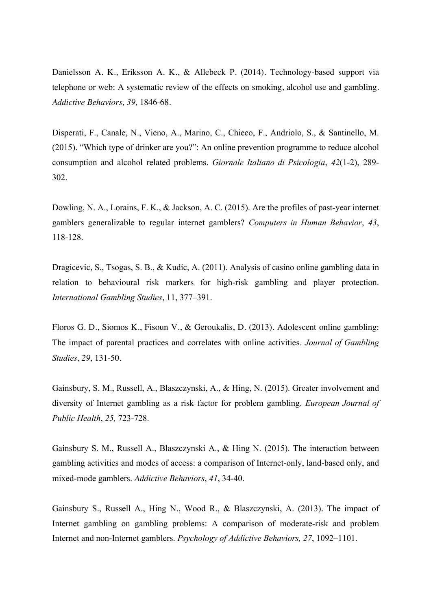Danielsson A. K., Eriksson A. K., & Allebeck P. (2014). Technology-based support via telephone or web: A systematic review of the effects on smoking, alcohol use and gambling. *Addictive Behaviors, 39,* 1846-68.

Disperati, F., Canale, N., Vieno, A., Marino, C., Chieco, F., Andriolo, S., & Santinello, M. (2015). "Which type of drinker are you?": An online prevention programme to reduce alcohol consumption and alcohol related problems. *Giornale Italiano di Psicologia*, *42*(1-2), 289- 302.

Dowling, N. A., Lorains, F. K., & Jackson, A. C. (2015). Are the profiles of past-year internet gamblers generalizable to regular internet gamblers? *Computers in Human Behavior*, *43*, 118-128.

Dragicevic, S., Tsogas, S. B., & Kudic, A. (2011). Analysis of casino online gambling data in relation to behavioural risk markers for high-risk gambling and player protection. *International Gambling Studies*, 11, 377–391.

Floros G. D., Siomos K., Fisoun V., & Geroukalis, D. (2013). Adolescent online gambling: The impact of parental practices and correlates with online activities. *Journal of Gambling Studies*, *29,* 131-50.

Gainsbury, S. M., Russell, A., Blaszczynski, A., & Hing, N. (2015). Greater involvement and diversity of Internet gambling as a risk factor for problem gambling. *European Journal of Public Health*, *25,* 723-728.

Gainsbury S. M., Russell A., Blaszczynski A., & Hing N. (2015). The interaction between gambling activities and modes of access: a comparison of Internet-only, land-based only, and mixed-mode gamblers. *Addictive Behaviors*, *41*, 34-40.

Gainsbury S., Russell A., Hing N., Wood R., & Blaszczynski, A. (2013). The impact of Internet gambling on gambling problems: A comparison of moderate-risk and problem Internet and non-Internet gamblers. *Psychology of Addictive Behaviors, 27*, 1092–1101.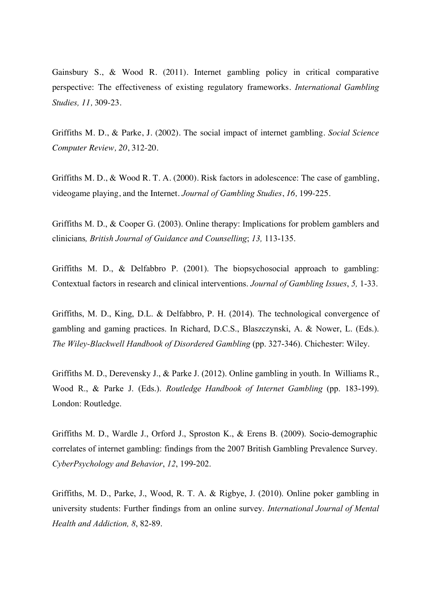Gainsbury S., & Wood R. (2011). Internet gambling policy in critical comparative perspective: The effectiveness of existing regulatory frameworks. *International Gambling Studies, 11,* 309-23.

Griffiths M. D., & Parke, J. (2002). The social impact of internet gambling. *Social Science Computer Review, 20*, 312-20.

Griffiths M. D., & Wood R. T. A. (2000). Risk factors in adolescence: The case of gambling, videogame playing, and the Internet. *Journal of Gambling Studies*, *16,* 199-225.

Griffiths M. D., & Cooper G. (2003). Online therapy: Implications for problem gamblers and clinicians*, British Journal of Guidance and Counselling*; *13,* 113-135.

Griffiths M. D., & Delfabbro P. (2001). The biopsychosocial approach to gambling: Contextual factors in research and clinical interventions. *Journal of Gambling Issues*, *5,* 1-33.

Griffiths, M. D., King, D.L. & Delfabbro, P. H. (2014). The technological convergence of gambling and gaming practices. In Richard, D.C.S., Blaszczynski, A. & Nower, L. (Eds.). *The Wiley-Blackwell Handbook of Disordered Gambling* (pp. 327-346). Chichester: Wiley.

Griffiths M. D., Derevensky J., & Parke J. (2012). Online gambling in youth. In Williams R., Wood R., & Parke J. (Eds.). *Routledge Handbook of Internet Gambling* (pp. 183-199). London: Routledge.

Griffiths M. D., Wardle J., Orford J., Sproston K., & Erens B. (2009). Socio-demographic correlates of internet gambling: findings from the 2007 British Gambling Prevalence Survey. *CyberPsychology and Behavior*, *12*, 199-202.

Griffiths, M. D., Parke, J., Wood, R. T. A. & Rigbye, J. (2010). Online poker gambling in university students: Further findings from an online survey. *International Journal of Mental Health and Addiction, 8*, 82-89.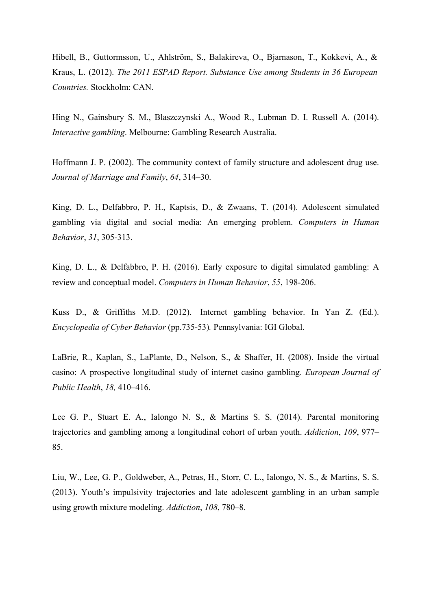Hibell, B., Guttormsson, U., Ahlström, S., Balakireva, O., Bjarnason, T., Kokkevi, A., & Kraus, L. (2012). *The 2011 ESPAD Report. Substance Use among Students in 36 European Countries.* Stockholm: CAN.

Hing N., Gainsbury S. M., Blaszczynski A., Wood R., Lubman D. I. Russell A. (2014). *Interactive gambling*. Melbourne: Gambling Research Australia.

Hoffmann J. P. (2002). The community context of family structure and adolescent drug use. *Journal of Marriage and Family*, *64*, 314–30.

King, D. L., Delfabbro, P. H., Kaptsis, D., & Zwaans, T. (2014). Adolescent simulated gambling via digital and social media: An emerging problem. *Computers in Human Behavior*, *31*, 305-313.

King, D. L., & Delfabbro, P. H. (2016). Early exposure to digital simulated gambling: A review and conceptual model. *Computers in Human Behavior*, *55*, 198-206.

Kuss D., & Griffiths M.D. (2012). Internet gambling behavior. In Yan Z. (Ed.). *Encyclopedia of Cyber Behavior* (pp.735-53)*.* Pennsylvania: IGI Global.

LaBrie, R., Kaplan, S., LaPlante, D., Nelson, S., & Shaffer, H. (2008). Inside the virtual casino: A prospective longitudinal study of internet casino gambling. *European Journal of Public Health*, *18,* 410–416.

Lee G. P., Stuart E. A., Ialongo N. S., & Martins S. S. (2014). Parental monitoring trajectories and gambling among a longitudinal cohort of urban youth. *Addiction*, *109*, 977– 85.

Liu, W., Lee, G. P., Goldweber, A., Petras, H., Storr, C. L., Ialongo, N. S., & Martins, S. S. (2013). Youth's impulsivity trajectories and late adolescent gambling in an urban sample using growth mixture modeling. *Addiction*, *108*, 780–8.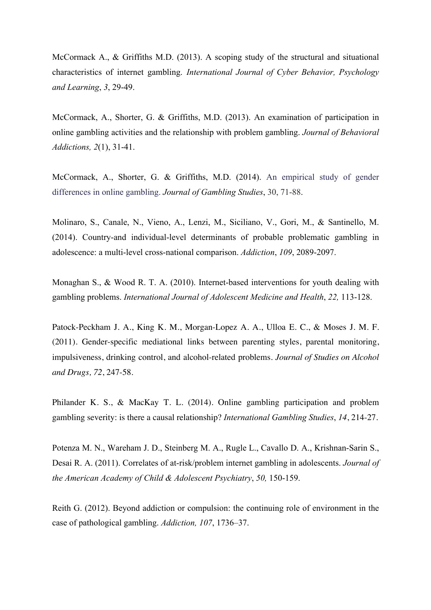McCormack A., & Griffiths M.D. (2013). A scoping study of the structural and situational characteristics of internet gambling. *International Journal of Cyber Behavior, Psychology and Learning*, *3*, 29-49.

McCormack, A., Shorter, G. & Griffiths, M.D. (2013). An examination of participation in online gambling activities and the relationship with problem gambling. *Journal of Behavioral Addictions, 2*(1), 31-41.

McCormack, A., Shorter, G. & Griffiths, M.D. (2014). An empirical study of gender differences in online gambling. *Journal of Gambling Studies*, 30, 71-88.

Molinaro, S., Canale, N., Vieno, A., Lenzi, M., Siciliano, V., Gori, M., & Santinello, M. (2014). Country-and individual-level determinants of probable problematic gambling in adolescence: a multi-level cross-national comparison. *Addiction*, *109*, 2089-2097.

Monaghan S., & Wood R. T. A. (2010). Internet-based interventions for youth dealing with gambling problems. *International Journal of Adolescent Medicine and Health*, *22,* 113-128.

Patock-Peckham J. A., King K. M., Morgan-Lopez A. A., Ulloa E. C., & Moses J. M. F. (2011). Gender-specific mediational links between parenting styles, parental monitoring, impulsiveness, drinking control, and alcohol-related problems. *Journal of Studies on Alcohol and Drugs, 72*, 247-58.

Philander K. S., & MacKay T. L. (2014). Online gambling participation and problem gambling severity: is there a causal relationship? *International Gambling Studies*, *14*, 214-27.

Potenza M. N., Wareham J. D., Steinberg M. A., Rugle L., Cavallo D. A., Krishnan-Sarin S., Desai R. A. (2011). Correlates of at-risk/problem internet gambling in adolescents. *Journal of the American Academy of Child & Adolescent Psychiatry*, *50,* 150-159.

Reith G. (2012). Beyond addiction or compulsion: the continuing role of environment in the case of pathological gambling. *Addiction, 107*, 1736–37.